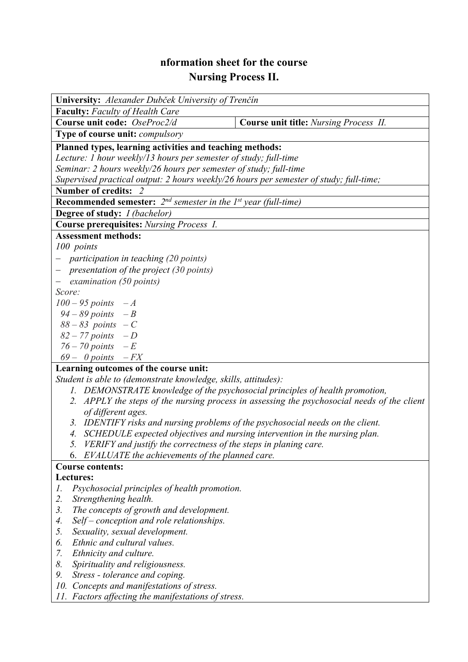## **nformation sheet for the course Nursing Process II.**

| University: Alexander Dubček University of Trenčín                                             |                                        |  |  |  |  |
|------------------------------------------------------------------------------------------------|----------------------------------------|--|--|--|--|
| <b>Faculty:</b> Faculty of Health Care                                                         |                                        |  |  |  |  |
| Course unit code: OseProc2/d                                                                   | Course unit title: Nursing Process II. |  |  |  |  |
| Type of course unit: <i>compulsory</i>                                                         |                                        |  |  |  |  |
| Planned types, learning activities and teaching methods:                                       |                                        |  |  |  |  |
| Lecture: 1 hour weekly/13 hours per semester of study; full-time                               |                                        |  |  |  |  |
| Seminar: 2 hours weekly/26 hours per semester of study; full-time                              |                                        |  |  |  |  |
| Supervised practical output: 2 hours weekly/26 hours per semester of study; full-time;         |                                        |  |  |  |  |
| Number of credits: 2                                                                           |                                        |  |  |  |  |
| <b>Recommended semester:</b> $2^{nd}$ semester in the 1 <sup>st</sup> year (full-time)         |                                        |  |  |  |  |
| <b>Degree of study:</b> <i>I (bachelor)</i>                                                    |                                        |  |  |  |  |
| <b>Course prerequisites: Nursing Process 1.</b>                                                |                                        |  |  |  |  |
| <b>Assessment methods:</b>                                                                     |                                        |  |  |  |  |
| 100 points                                                                                     |                                        |  |  |  |  |
| participation in teaching (20 points)                                                          |                                        |  |  |  |  |
| - presentation of the project $(30 \text{ points})$                                            |                                        |  |  |  |  |
| examination (50 points)                                                                        |                                        |  |  |  |  |
| Score:                                                                                         |                                        |  |  |  |  |
| $100 - 95$ points $-A$                                                                         |                                        |  |  |  |  |
| $94 - 89$ points $-B$                                                                          |                                        |  |  |  |  |
| $88 - 83$ points $-C$                                                                          |                                        |  |  |  |  |
| $82 - 77$ points $-D$                                                                          |                                        |  |  |  |  |
| $76 - 70$ points $-E$                                                                          |                                        |  |  |  |  |
| $69 - 0$ points $-FX$                                                                          |                                        |  |  |  |  |
| Learning outcomes of the course unit:                                                          |                                        |  |  |  |  |
| Student is able to (demonstrate knowledge, skills, attitudes):                                 |                                        |  |  |  |  |
| 1. DEMONSTRATE knowledge of the psychosocial principles of health promotion,                   |                                        |  |  |  |  |
| 2. APPLY the steps of the nursing process in assessing the psychosocial needs of the client    |                                        |  |  |  |  |
| of different ages.                                                                             |                                        |  |  |  |  |
| 3 <sub>1</sub><br>IDENTIFY risks and nursing problems of the psychosocial needs on the client. |                                        |  |  |  |  |
| 4. SCHEDULE expected objectives and nursing intervention in the nursing plan.                  |                                        |  |  |  |  |
| VERIFY and justify the correctness of the steps in planing care.                               |                                        |  |  |  |  |
| EVALUATE the achievements of the planned care.<br>6.                                           |                                        |  |  |  |  |
| <b>Course contents:</b>                                                                        |                                        |  |  |  |  |
| Lectures:                                                                                      |                                        |  |  |  |  |
| Psychosocial principles of health promotion.<br>Ι.                                             |                                        |  |  |  |  |
| 2.<br>Strengthening health.                                                                    |                                        |  |  |  |  |
| The concepts of growth and development.<br>3.                                                  |                                        |  |  |  |  |
| Self – conception and role relationships.<br>4.                                                |                                        |  |  |  |  |
| 5.<br>Sexuality, sexual development.                                                           |                                        |  |  |  |  |
| Ethnic and cultural values.<br>6.                                                              |                                        |  |  |  |  |
| 7.<br>Ethnicity and culture.                                                                   |                                        |  |  |  |  |
| 8.<br>Spirituality and religiousness.                                                          |                                        |  |  |  |  |
| Stress - tolerance and coping.<br>9.                                                           |                                        |  |  |  |  |
| 10.<br>Concepts and manifestations of stress.                                                  |                                        |  |  |  |  |

*11. Factors affecting the manifestations of stress.*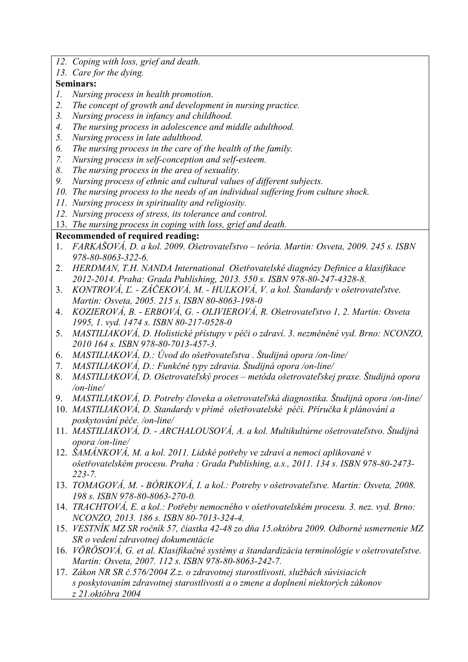- *12. Coping with loss, grief and death.*
- *13. Care for the dying.*

## **Seminars:**

- *1. Nursing process in health promotion.*
- *2. The concept of growth and development in nursing practice.*
- *3. Nursing process in infancy and childhood.*
- *4. The nursing process in adolescence and middle adulthood.*
- *5. Nursing process in late adulthood.*
- *6. The nursing process in the care of the health of the family.*
- *7. Nursing process in self-conception and self-esteem.*
- *8. The nursing process in the area of sexuality.*
- *9. Nursing process of ethnic and cultural values of different subjects.*
- *10. The nursing process to the needs of an individual suffering from culture shock.*
- *11. Nursing process in spirituality and religiosity.*
- *12. Nursing process of stress, its tolerance and control.*
- 13. *The nursing process in coping with loss, grief and death.*

## **Recommended of required reading:**

- 1. *FARKAŠOVÁ, D. a kol. 2009. Ošetrovateľstvo teória. Martin: Osveta, 2009. 245 s. ISBN 978-80-8063-322-6.*
- 2. *HERDMAN, T.H. NANDA International Ošetřovatelské diagnózy Definice a klasifikace 2012-2014. Praha: Grada Publishing, 2013. 550 s. ISBN 978-80-247-4328-8.*
- 3. *KONTROVÁ, Ľ. ZÁČEKOVÁ, M. HULKOVÁ, V. a kol. Štandardy v ošetrovateľstve. Martin: Osveta, 2005. 215 s. ISBN 80-8063-198-0*
- 4. *KOZIEROVÁ, B. ERBOVÁ, G. OLIVIEROVÁ, R. Ošetrovateľstvo 1, 2. Martin: Osveta 1995, 1. vyd. 1474 s. ISBN 80-217-0528-0*
- 5. *MASTILIAKOVÁ, D. Holistické přístupy v péči o zdraví. 3. nezměněné vyd. Brno: NCONZO, 2010 164 s. ISBN 978-80-7013-457-3.*
- 6. *MASTILIAKOVÁ, D.: Úvod do ošetřovateľstva . Študijná opora /on-line/*
- 7. *MASTILIAKOVÁ, D.: Funkčné typy zdravia. Študijná opora /on-line/*
- 8. *MASTILIAKOVÁ, D. Ošetrovateľský proces metóda ošetrovateľskej praxe. Študijná opora /on-line/*
- 9. *MASTILIAKOVÁ, D. Potreby človeka a ošetrovateľská diagnostika. Študijná opora /on-line/*
- 10. *MASTILIAKOVÁ, D. Standardy v přímé ošetřovatelské péči. Příručka k plánování a poskytování péče. /on-line/*
- 11. *MASTILIAKOVÁ, D. ARCHALOUSOVÁ, A. a kol. Multikultúrne ošetrovateľstvo. Študijná opora /on-line/*
- 12. *ŠAMÁNKOVÁ, M. a kol. 2011. Lidské potřeby ve zdraví a nemoci aplikované v ošetřovatelském procesu. Praha : Grada Publishing, a.s., 2011. 134 s. ISBN 978-80-2473- 223-7.*
- 13. *TOMAGOVÁ, M. BÓRIKOVÁ, I. a kol.: Potreby v ošetrovateľstve. Martin: Osveta, 2008. 198 s. ISBN 978-80-8063-270-0.*
- 14. *TRACHTOVÁ, E. a kol.: Potřeby nemocného v ošetřovatelském procesu. 3. nez. vyd. Brno: NCONZO, 2013. 186 s. ISBN 80-7013-324-4.*
- 15. *VESTNÍK MZ SR ročník 57, čiastka 42-48 zo dňa 15.októbra 2009. Odborné usmernenie MZ SR o vedení zdravotnej dokumentácie*
- 16. *VÖRÖSOVÁ, G. et al. Klasifikačné systémy a štandardizácia terminológie v ošetrovateľstve. Martin: Osveta, 2007. 112 s. ISBN 978-80-8063-242-7.*
- 17. *Zákon NR SR č.576/2004 Z.z. o zdravotnej starostlivosti, službách súvisiacich s poskytovaním zdravotnej starostlivosti a o zmene a doplnení niektorých zákonov z 21.októbra 2004*